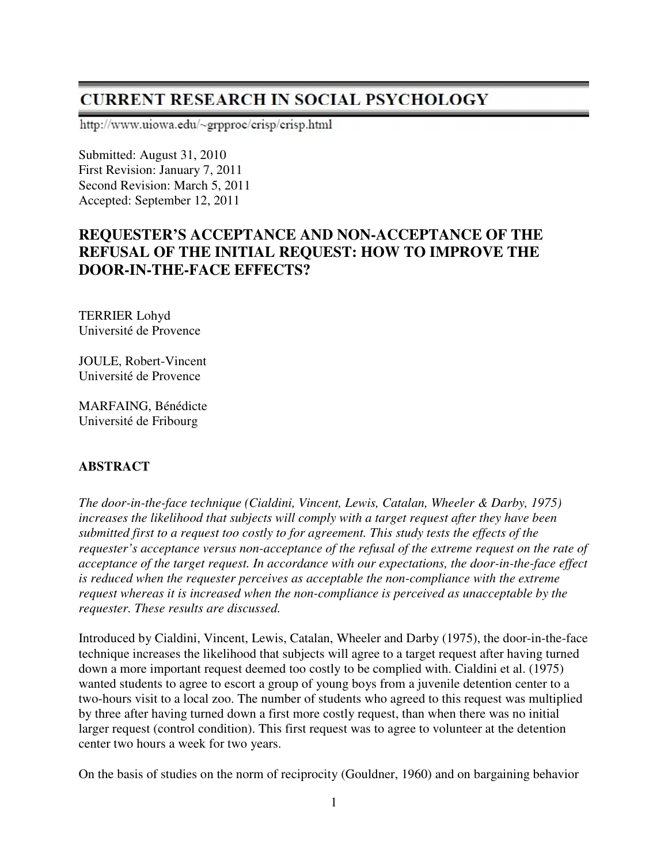# **CURRENT RESEARCH IN SOCIAL PSYCHOLOGY**

http://www.uiowa.edu/~grpproc/crisp/crisp.html

Submitted: August 31, 2010 First Revision: January 7, 2011 Second Revision: March 5, 2011 Accepted: September 12, 2011

# **REQUESTER'S ACCEPTANCE AND NON-ACCEPTANCE OF THE REFUSAL OF THE INITIAL REQUEST: HOW TO IMPROVE THE DOOR-IN-THE-FACE EFFECTS?**

TERRIER Lohyd Université de Provence

JOULE, Robert-Vincent Université de Provence

MARFAING, Bénédicte Université de Fribourg

### **ABSTRACT**

*The door-in-the-face technique (Cialdini, Vincent, Lewis, Catalan, Wheeler & Darby, 1975) increases the likelihood that subjects will comply with a target request after they have been submitted first to a request too costly to for agreement. This study tests the effects of the requester's acceptance versus non-acceptance of the refusal of the extreme request on the rate of acceptance of the target request. In accordance with our expectations, the door-in-the-face effect is reduced when the requester perceives as acceptable the non-compliance with the extreme request whereas it is increased when the non-compliance is perceived as unacceptable by the requester. These results are discussed.* 

Introduced by Cialdini, Vincent, Lewis, Catalan, Wheeler and Darby (1975), the door-in-the-face technique increases the likelihood that subjects will agree to a target request after having turned down a more important request deemed too costly to be complied with. Cialdini et al. (1975) wanted students to agree to escort a group of young boys from a juvenile detention center to a two-hours visit to a local zoo. The number of students who agreed to this request was multiplied by three after having turned down a first more costly request, than when there was no initial larger request (control condition). This first request was to agree to volunteer at the detention center two hours a week for two years.

On the basis of studies on the norm of reciprocity (Gouldner, 1960) and on bargaining behavior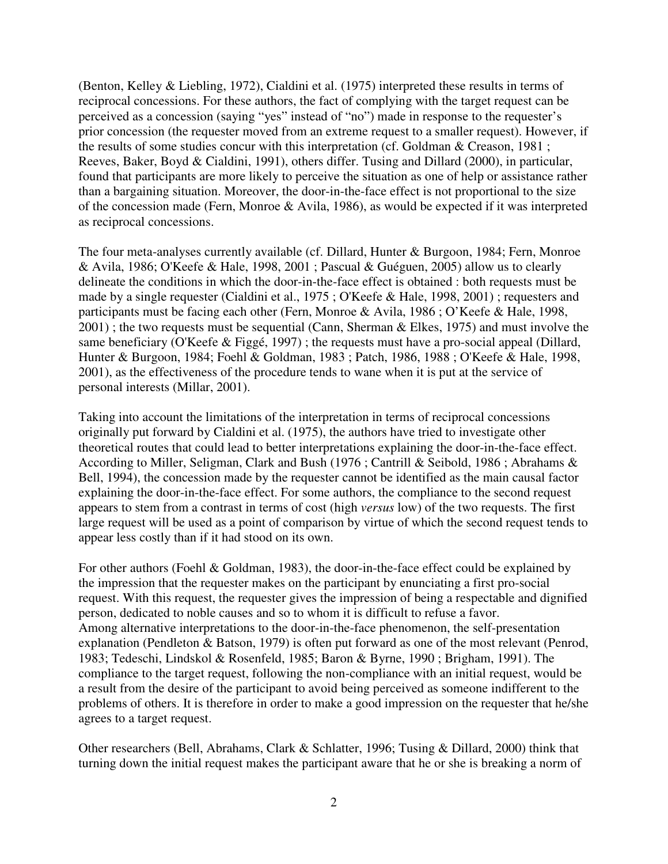(Benton, Kelley & Liebling, 1972), Cialdini et al. (1975) interpreted these results in terms of reciprocal concessions. For these authors, the fact of complying with the target request can be perceived as a concession (saying "yes" instead of "no") made in response to the requester's prior concession (the requester moved from an extreme request to a smaller request). However, if the results of some studies concur with this interpretation (cf. Goldman & Creason, 1981 ; Reeves, Baker, Boyd & Cialdini, 1991), others differ. Tusing and Dillard (2000), in particular, found that participants are more likely to perceive the situation as one of help or assistance rather than a bargaining situation. Moreover, the door-in-the-face effect is not proportional to the size of the concession made (Fern, Monroe & Avila, 1986), as would be expected if it was interpreted as reciprocal concessions.

The four meta-analyses currently available (cf. Dillard, Hunter & Burgoon, 1984; Fern, Monroe & Avila, 1986; O'Keefe & Hale, 1998, 2001 ; Pascual & Guéguen, 2005) allow us to clearly delineate the conditions in which the door-in-the-face effect is obtained : both requests must be made by a single requester (Cialdini et al., 1975 ; O'Keefe & Hale, 1998, 2001) ; requesters and participants must be facing each other (Fern, Monroe & Avila, 1986 ; O'Keefe & Hale, 1998, 2001) ; the two requests must be sequential (Cann, Sherman & Elkes, 1975) and must involve the same beneficiary (O'Keefe & Figgé, 1997) ; the requests must have a pro-social appeal (Dillard, Hunter & Burgoon, 1984; Foehl & Goldman, 1983 ; Patch, 1986, 1988 ; O'Keefe & Hale, 1998, 2001), as the effectiveness of the procedure tends to wane when it is put at the service of personal interests (Millar, 2001).

Taking into account the limitations of the interpretation in terms of reciprocal concessions originally put forward by Cialdini et al. (1975), the authors have tried to investigate other theoretical routes that could lead to better interpretations explaining the door-in-the-face effect. According to Miller, Seligman, Clark and Bush (1976 ; Cantrill & Seibold, 1986 ; Abrahams & Bell, 1994), the concession made by the requester cannot be identified as the main causal factor explaining the door-in-the-face effect. For some authors, the compliance to the second request appears to stem from a contrast in terms of cost (high *versus* low) of the two requests. The first large request will be used as a point of comparison by virtue of which the second request tends to appear less costly than if it had stood on its own.

For other authors (Foehl & Goldman, 1983), the door-in-the-face effect could be explained by the impression that the requester makes on the participant by enunciating a first pro-social request. With this request, the requester gives the impression of being a respectable and dignified person, dedicated to noble causes and so to whom it is difficult to refuse a favor. Among alternative interpretations to the door-in-the-face phenomenon, the self-presentation explanation (Pendleton & Batson, 1979) is often put forward as one of the most relevant (Penrod, 1983; Tedeschi, Lindskol & Rosenfeld, 1985; Baron & Byrne, 1990 ; Brigham, 1991). The compliance to the target request, following the non-compliance with an initial request, would be a result from the desire of the participant to avoid being perceived as someone indifferent to the problems of others. It is therefore in order to make a good impression on the requester that he/she agrees to a target request.

Other researchers (Bell, Abrahams, Clark & Schlatter, 1996; Tusing & Dillard, 2000) think that turning down the initial request makes the participant aware that he or she is breaking a norm of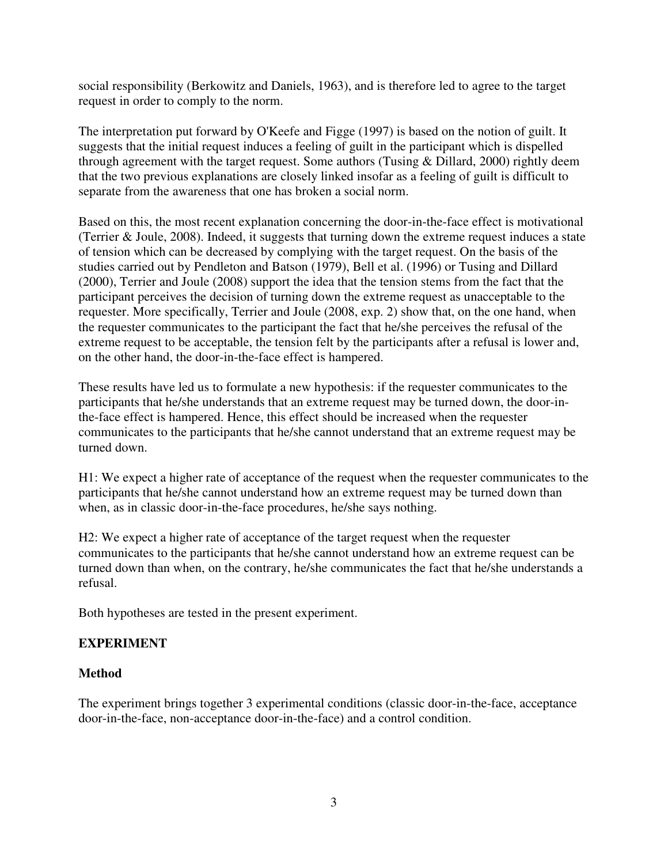social responsibility (Berkowitz and Daniels, 1963), and is therefore led to agree to the target request in order to comply to the norm.

The interpretation put forward by O'Keefe and Figge (1997) is based on the notion of guilt. It suggests that the initial request induces a feeling of guilt in the participant which is dispelled through agreement with the target request. Some authors (Tusing & Dillard, 2000) rightly deem that the two previous explanations are closely linked insofar as a feeling of guilt is difficult to separate from the awareness that one has broken a social norm.

Based on this, the most recent explanation concerning the door-in-the-face effect is motivational (Terrier & Joule, 2008). Indeed, it suggests that turning down the extreme request induces a state of tension which can be decreased by complying with the target request. On the basis of the studies carried out by Pendleton and Batson (1979), Bell et al. (1996) or Tusing and Dillard (2000), Terrier and Joule (2008) support the idea that the tension stems from the fact that the participant perceives the decision of turning down the extreme request as unacceptable to the requester. More specifically, Terrier and Joule (2008, exp. 2) show that, on the one hand, when the requester communicates to the participant the fact that he/she perceives the refusal of the extreme request to be acceptable, the tension felt by the participants after a refusal is lower and, on the other hand, the door-in-the-face effect is hampered.

These results have led us to formulate a new hypothesis: if the requester communicates to the participants that he/she understands that an extreme request may be turned down, the door-inthe-face effect is hampered. Hence, this effect should be increased when the requester communicates to the participants that he/she cannot understand that an extreme request may be turned down.

H1: We expect a higher rate of acceptance of the request when the requester communicates to the participants that he/she cannot understand how an extreme request may be turned down than when, as in classic door-in-the-face procedures, he/she says nothing.

H2: We expect a higher rate of acceptance of the target request when the requester communicates to the participants that he/she cannot understand how an extreme request can be turned down than when, on the contrary, he/she communicates the fact that he/she understands a refusal.

Both hypotheses are tested in the present experiment.

## **EXPERIMENT**

### **Method**

The experiment brings together 3 experimental conditions (classic door-in-the-face, acceptance door-in-the-face, non-acceptance door-in-the-face) and a control condition.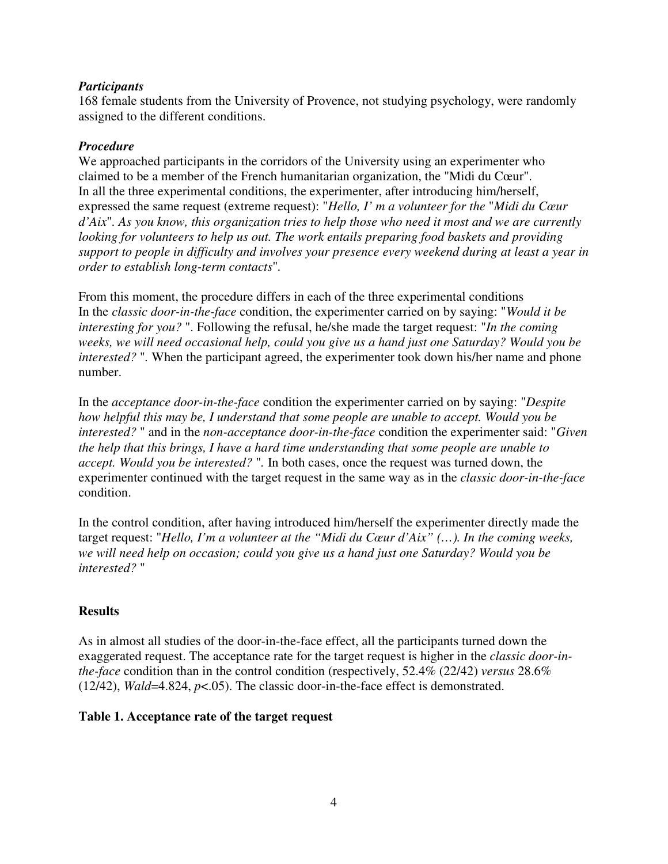#### *Participants*

168 female students from the University of Provence, not studying psychology, were randomly assigned to the different conditions.

#### *Procedure*

We approached participants in the corridors of the University using an experimenter who claimed to be a member of the French humanitarian organization, the "Midi du Cœur". In all the three experimental conditions, the experimenter, after introducing him/herself, expressed the same request (extreme request): "*Hello, I' m a volunteer for the* "*Midi du Cœur d'Aix*"*. As you know, this organization tries to help those who need it most and we are currently looking for volunteers to help us out. The work entails preparing food baskets and providing support to people in difficulty and involves your presence every weekend during at least a year in order to establish long-term contacts*"*.* 

From this moment, the procedure differs in each of the three experimental conditions In the *classic door-in-the-face* condition, the experimenter carried on by saying: "*Would it be interesting for you?* ". Following the refusal, he/she made the target request: "*In the coming weeks, we will need occasional help, could you give us a hand just one Saturday? Would you be interested?* "*.* When the participant agreed, the experimenter took down his/her name and phone number.

In the *acceptance door-in-the-face* condition the experimenter carried on by saying: "*Despite how helpful this may be, I understand that some people are unable to accept. Would you be interested?* " and in the *non-acceptance door-in-the-face* condition the experimenter said: "*Given the help that this brings, I have a hard time understanding that some people are unable to accept. Would you be interested?* "*.* In both cases, once the request was turned down, the experimenter continued with the target request in the same way as in the *classic door-in-the-face*  condition.

In the control condition, after having introduced him/herself the experimenter directly made the target request: "*Hello, I'm a volunteer at the "Midi du Cœur d'Aix" (…). In the coming weeks, we will need help on occasion; could you give us a hand just one Saturday? Would you be interested?* "

### **Results**

As in almost all studies of the door-in-the-face effect, all the participants turned down the exaggerated request. The acceptance rate for the target request is higher in the *classic door-inthe-face* condition than in the control condition (respectively, 52.4% (22/42) *versus* 28.6% (12/42), *Wald*=4.824, *p*<.05). The classic door-in-the-face effect is demonstrated.

### **Table 1. Acceptance rate of the target request**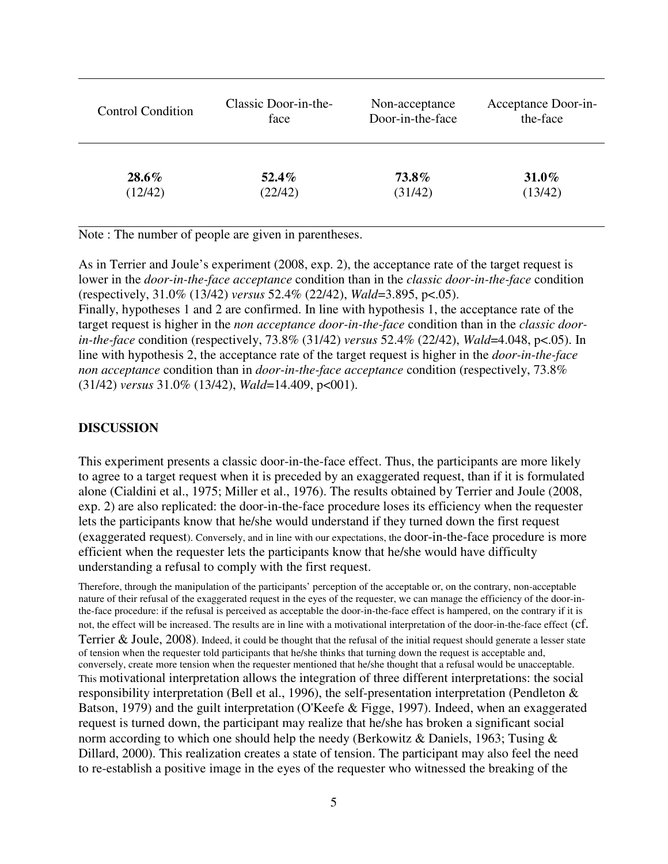| <b>Control Condition</b> | Classic Door-in-the- | Non-acceptance   | Acceptance Door-in- |
|--------------------------|----------------------|------------------|---------------------|
|                          | face                 | Door-in-the-face | the-face            |
| $28.6\%$                 | $52.4\%$             | 73.8%            | $31.0\%$            |
| (12/42)                  | (22/42)              | (31/42)          | (13/42)             |

Note : The number of people are given in parentheses.

As in Terrier and Joule's experiment (2008, exp. 2), the acceptance rate of the target request is lower in the *door-in-the-face acceptance* condition than in the *classic door-in-the-face* condition (respectively, 31.0% (13/42) *versus* 52.4% (22/42), *Wald*=3.895, p<.05).

Finally, hypotheses 1 and 2 are confirmed. In line with hypothesis 1, the acceptance rate of the target request is higher in the *non acceptance door-in-the-face* condition than in the *classic doorin-the-face* condition (respectively, 73.8% (31/42) *versus* 52.4% (22/42), *Wald*=4.048, p<.05). In line with hypothesis 2, the acceptance rate of the target request is higher in the *door-in-the-face non acceptance* condition than in *door-in-the-face acceptance* condition (respectively, 73.8% (31/42) *versus* 31.0% (13/42), *Wald*=14.409, p<001).

#### **DISCUSSION**

This experiment presents a classic door-in-the-face effect. Thus, the participants are more likely to agree to a target request when it is preceded by an exaggerated request, than if it is formulated alone (Cialdini et al., 1975; Miller et al., 1976). The results obtained by Terrier and Joule (2008, exp. 2) are also replicated: the door-in-the-face procedure loses its efficiency when the requester lets the participants know that he/she would understand if they turned down the first request (exaggerated request). Conversely, and in line with our expectations, the door-in-the-face procedure is more efficient when the requester lets the participants know that he/she would have difficulty understanding a refusal to comply with the first request.

Therefore, through the manipulation of the participants' perception of the acceptable or, on the contrary, non-acceptable nature of their refusal of the exaggerated request in the eyes of the requester, we can manage the efficiency of the door-inthe-face procedure: if the refusal is perceived as acceptable the door-in-the-face effect is hampered, on the contrary if it is not, the effect will be increased. The results are in line with a motivational interpretation of the door-in-the-face effect (cf. Terrier & Joule, 2008). Indeed, it could be thought that the refusal of the initial request should generate a lesser state of tension when the requester told participants that he/she thinks that turning down the request is acceptable and, conversely, create more tension when the requester mentioned that he/she thought that a refusal would be unacceptable. This motivational interpretation allows the integration of three different interpretations: the social responsibility interpretation (Bell et al., 1996), the self-presentation interpretation (Pendleton & Batson, 1979) and the guilt interpretation (O'Keefe & Figge, 1997). Indeed, when an exaggerated request is turned down, the participant may realize that he/she has broken a significant social norm according to which one should help the needy (Berkowitz & Daniels, 1963; Tusing & Dillard, 2000). This realization creates a state of tension. The participant may also feel the need to re-establish a positive image in the eyes of the requester who witnessed the breaking of the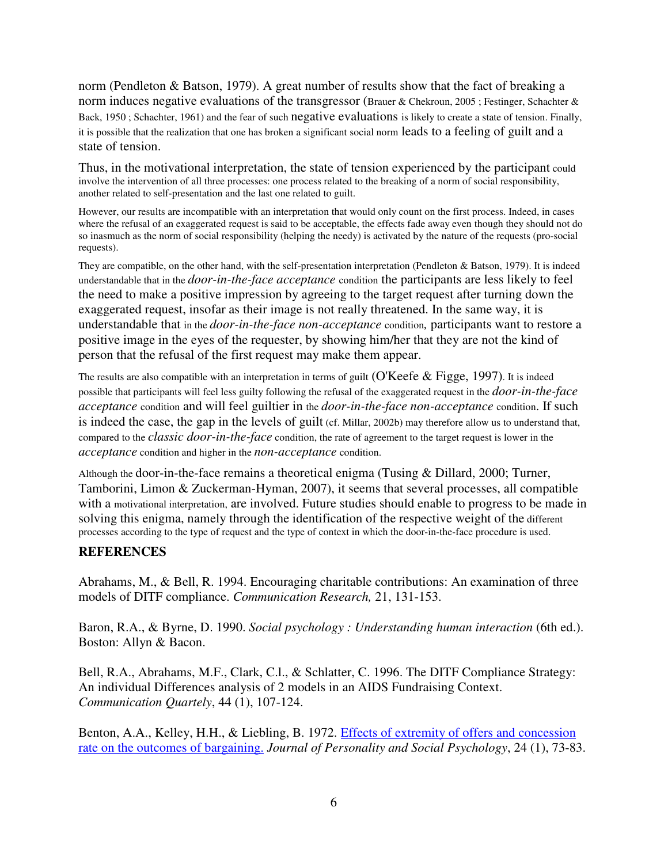norm (Pendleton & Batson, 1979). A great number of results show that the fact of breaking a norm induces negative evaluations of the transgressor (Brauer & Chekroun, 2005 ; Festinger, Schachter & Back, 1950 ; Schachter, 1961) and the fear of such negative evaluations is likely to create a state of tension. Finally, it is possible that the realization that one has broken a significant social norm leads to a feeling of guilt and a state of tension.

Thus, in the motivational interpretation, the state of tension experienced by the participant could involve the intervention of all three processes: one process related to the breaking of a norm of social responsibility, another related to self-presentation and the last one related to guilt.

However, our results are incompatible with an interpretation that would only count on the first process. Indeed, in cases where the refusal of an exaggerated request is said to be acceptable, the effects fade away even though they should not do so inasmuch as the norm of social responsibility (helping the needy) is activated by the nature of the requests (pro-social requests).

They are compatible, on the other hand, with the self-presentation interpretation (Pendleton & Batson, 1979). It is indeed understandable that in the *door-in-the-face acceptance* condition the participants are less likely to feel the need to make a positive impression by agreeing to the target request after turning down the exaggerated request, insofar as their image is not really threatened. In the same way, it is understandable that in the *door-in-the-face non-acceptance* condition*,* participants want to restore a positive image in the eyes of the requester, by showing him/her that they are not the kind of person that the refusal of the first request may make them appear.

The results are also compatible with an interpretation in terms of guilt (O'Keefe & Figge, 1997). It is indeed possible that participants will feel less guilty following the refusal of the exaggerated request in the *door-in-the-face acceptance* condition and will feel guiltier in the *door-in-the-face non-acceptance* condition. If such is indeed the case, the gap in the levels of guilt (cf. Millar, 2002b) may therefore allow us to understand that, compared to the *classic door-in-the-face* condition, the rate of agreement to the target request is lower in the *acceptance* condition and higher in the *non-acceptance* condition.

Although the door-in-the-face remains a theoretical enigma (Tusing & Dillard, 2000; Turner, Tamborini, Limon & Zuckerman-Hyman, 2007), it seems that several processes, all compatible with a motivational interpretation, are involved. Future studies should enable to progress to be made in solving this enigma, namely through the identification of the respective weight of the different processes according to the type of request and the type of context in which the door-in-the-face procedure is used.

#### **REFERENCES**

Abrahams, M., & Bell, R. 1994. Encouraging charitable contributions: An examination of three models of DITF compliance. *Communication Research,* 21, 131-153.

Baron, R.A., & Byrne, D. 1990. *Social psychology : Understanding human interaction* (6th ed.). Boston: Allyn & Bacon.

Bell, R.A., Abrahams, M.F., Clark, C.l., & Schlatter, C. 1996. The DITF Compliance Strategy: An individual Differences analysis of 2 models in an AIDS Fundraising Context. *Communication Quartely*, 44 (1), 107-124.

Benton, A.A., Kelley, H.H., & Liebling, B. 1972. Effects of extremity of offers and concession rate on the outcomes of bargaining. *Journal of Personality and Social Psychology*, 24 (1), 73-83.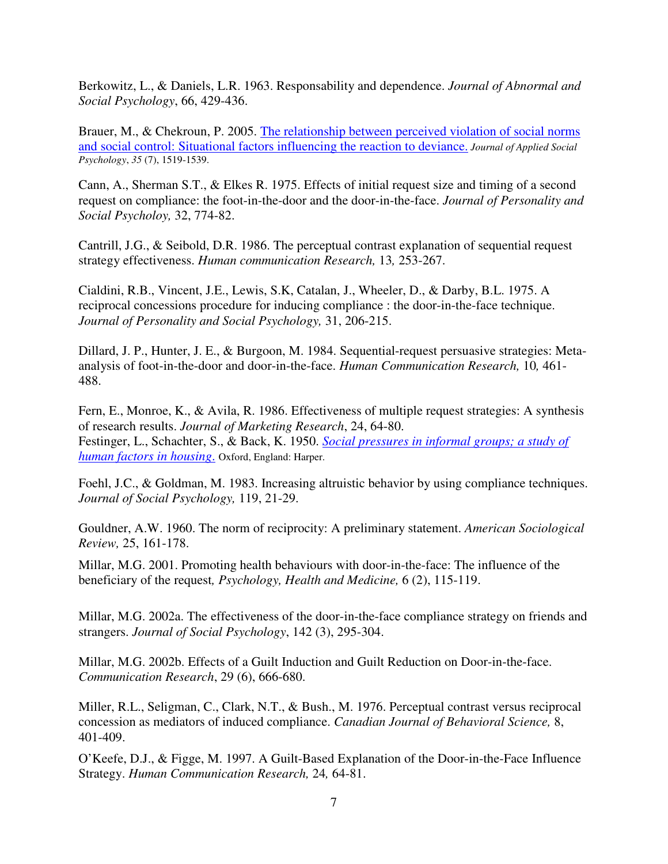Berkowitz, L., & Daniels, L.R. 1963. Responsability and dependence. *Journal of Abnormal and Social Psychology*, 66, 429-436.

Brauer, M., & Chekroun, P. 2005. The relationship between perceived violation of social norms and social control: Situational factors influencing the reaction to deviance. *Journal of Applied Social Psychology*, *35* (7), 1519-1539.

Cann, A., Sherman S.T., & Elkes R. 1975. Effects of initial request size and timing of a second request on compliance: the foot-in-the-door and the door-in-the-face. *Journal of Personality and Social Psycholoy,* 32, 774-82.

Cantrill, J.G., & Seibold, D.R. 1986. The perceptual contrast explanation of sequential request strategy effectiveness. *Human communication Research,* 13*,* 253-267.

Cialdini, R.B., Vincent, J.E., Lewis, S.K, Catalan, J., Wheeler, D., & Darby, B.L. 1975. A reciprocal concessions procedure for inducing compliance : the door-in-the-face technique. *Journal of Personality and Social Psychology,* 31, 206-215.

Dillard, J. P., Hunter, J. E., & Burgoon, M. 1984. Sequential-request persuasive strategies: Metaanalysis of foot-in-the-door and door-in-the-face. *Human Communication Research,* 10*,* 461- 488.

Fern, E., Monroe, K., & Avila, R. 1986. Effectiveness of multiple request strategies: A synthesis of research results. *Journal of Marketing Research*, 24, 64-80. Festinger, L., Schachter, S., & Back, K. 1950. *Social pressures in informal groups; a study of human factors in housing*. Oxford, England: Harper.

Foehl, J.C., & Goldman, M. 1983. Increasing altruistic behavior by using compliance techniques. *Journal of Social Psychology,* 119, 21-29.

Gouldner, A.W. 1960. The norm of reciprocity: A preliminary statement. *American Sociological Review,* 25, 161-178.

Millar, M.G. 2001. Promoting health behaviours with door-in-the-face: The influence of the beneficiary of the request*, Psychology, Health and Medicine,* 6 (2), 115-119.

Millar, M.G. 2002a. The effectiveness of the door-in-the-face compliance strategy on friends and strangers. *Journal of Social Psychology*, 142 (3), 295-304.

Millar, M.G. 2002b. Effects of a Guilt Induction and Guilt Reduction on Door-in-the-face. *Communication Research*, 29 (6), 666-680.

Miller, R.L., Seligman, C., Clark, N.T., & Bush., M. 1976. Perceptual contrast versus reciprocal concession as mediators of induced compliance. *Canadian Journal of Behavioral Science,* 8, 401-409.

O'Keefe, D.J., & Figge, M. 1997. A Guilt-Based Explanation of the Door-in-the-Face Influence Strategy. *Human Communication Research,* 24*,* 64-81.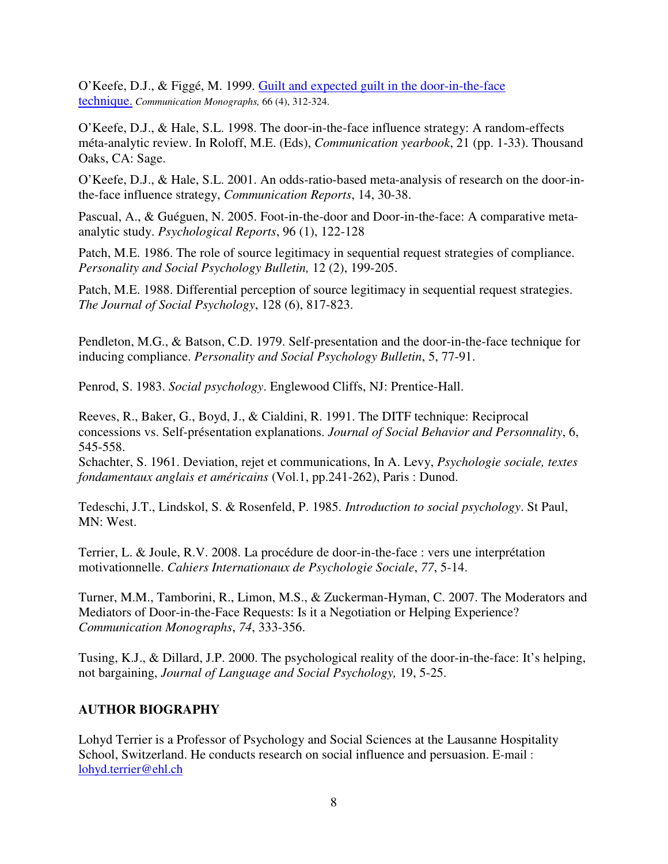O'Keefe, D.J., & Figgé, M. 1999. Guilt and expected guilt in the door-in-the-face technique. *Communication Monographs,* 66 (4), 312-324.

O'Keefe, D.J., & Hale, S.L. 1998. The door-in-the-face influence strategy: A random-effects méta-analytic review. In Roloff, M.E. (Eds), *Communication yearbook*, 21 (pp. 1-33). Thousand Oaks, CA: Sage.

O'Keefe, D.J., & Hale, S.L. 2001. An odds-ratio-based meta-analysis of research on the door-inthe-face influence strategy, *Communication Reports*, 14, 30-38.

Pascual, A., & Guéguen, N. 2005. Foot-in-the-door and Door-in-the-face: A comparative metaanalytic study. *Psychological Reports*, 96 (1), 122-128

Patch, M.E. 1986. The role of source legitimacy in sequential request strategies of compliance. *Personality and Social Psychology Bulletin,* 12 (2), 199-205.

Patch, M.E. 1988. Differential perception of source legitimacy in sequential request strategies. *The Journal of Social Psychology*, 128 (6), 817-823.

Pendleton, M.G., & Batson, C.D. 1979. Self-presentation and the door-in-the-face technique for inducing compliance. *Personality and Social Psychology Bulletin*, 5, 77-91.

Penrod, S. 1983. *Social psychology*. Englewood Cliffs, NJ: Prentice-Hall.

Reeves, R., Baker, G., Boyd, J., & Cialdini, R. 1991. The DITF technique: Reciprocal concessions vs. Self-présentation explanations. *Journal of Social Behavior and Personnality*, 6, 545-558.

Schachter, S. 1961. Deviation, rejet et communications, In A. Levy, *Psychologie sociale, textes fondamentaux anglais et américains* (Vol.1, pp.241-262), Paris : Dunod.

Tedeschi, J.T., Lindskol, S. & Rosenfeld, P. 1985. *Introduction to social psychology*. St Paul, MN: West.

Terrier, L. & Joule, R.V. 2008. La procédure de door-in-the-face : vers une interprétation motivationnelle. *Cahiers Internationaux de Psychologie Sociale*, *77*, 5-14.

Turner, M.M., Tamborini, R., Limon, M.S., & Zuckerman-Hyman, C. 2007. The Moderators and Mediators of Door-in-the-Face Requests: Is it a Negotiation or Helping Experience? *Communication Monographs*, *74*, 333-356.

Tusing, K.J., & Dillard, J.P. 2000. The psychological reality of the door-in-the-face: It's helping, not bargaining, *Journal of Language and Social Psychology,* 19, 5-25.

### **AUTHOR BIOGRAPHY**

Lohyd Terrier is a Professor of Psychology and Social Sciences at the Lausanne Hospitality School, Switzerland. He conducts research on social influence and persuasion. E-mail : lohyd.terrier@ehl.ch